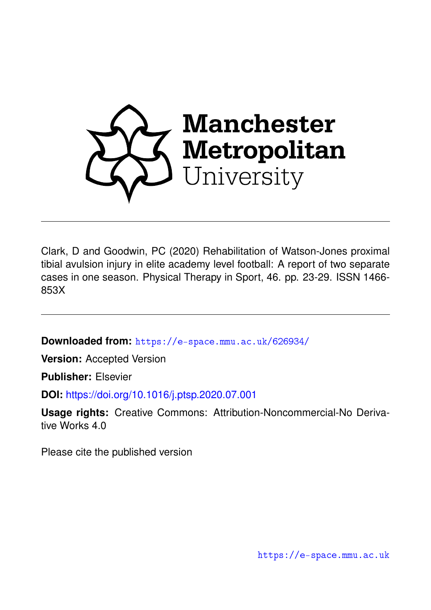

Clark, D and Goodwin, PC (2020) Rehabilitation of Watson-Jones proximal tibial avulsion injury in elite academy level football: A report of two separate cases in one season. Physical Therapy in Sport, 46. pp. 23-29. ISSN 1466- 853X

**Downloaded from:** <https://e-space.mmu.ac.uk/626934/>

**Version:** Accepted Version

**Publisher:** Elsevier

**DOI:** <https://doi.org/10.1016/j.ptsp.2020.07.001>

**Usage rights:** Creative Commons: Attribution-Noncommercial-No Derivative Works 4.0

Please cite the published version

<https://e-space.mmu.ac.uk>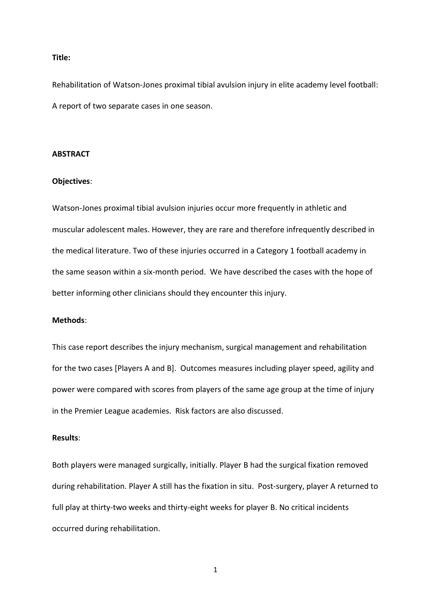## **Title:**

Rehabilitation of Watson-Jones proximal tibial avulsion injury in elite academy level football: A report of two separate cases in one season.

## **ABSTRACT**

# **Objectives**:

Watson-Jones proximal tibial avulsion injuries occur more frequently in athletic and muscular adolescent males. However, they are rare and therefore infrequently described in the medical literature. Two of these injuries occurred in a Category 1 football academy in the same season within a six-month period. We have described the cases with the hope of better informing other clinicians should they encounter this injury.

# **Methods**:

This case report describes the injury mechanism, surgical management and rehabilitation for the two cases [Players A and B]. Outcomes measures including player speed, agility and power were compared with scores from players of the same age group at the time of injury in the Premier League academies. Risk factors are also discussed.

# **Results**:

Both players were managed surgically, initially. Player B had the surgical fixation removed during rehabilitation. Player A still has the fixation in situ. Post-surgery, player A returned to full play at thirty-two weeks and thirty-eight weeks for player B. No critical incidents occurred during rehabilitation.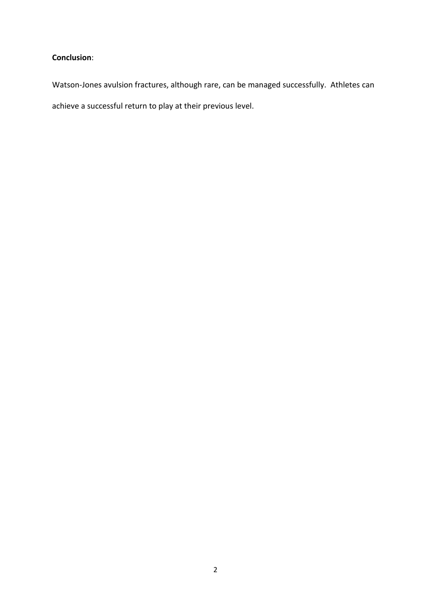# **Conclusion**:

Watson-Jones avulsion fractures, although rare, can be managed successfully. Athletes can

achieve a successful return to play at their previous level.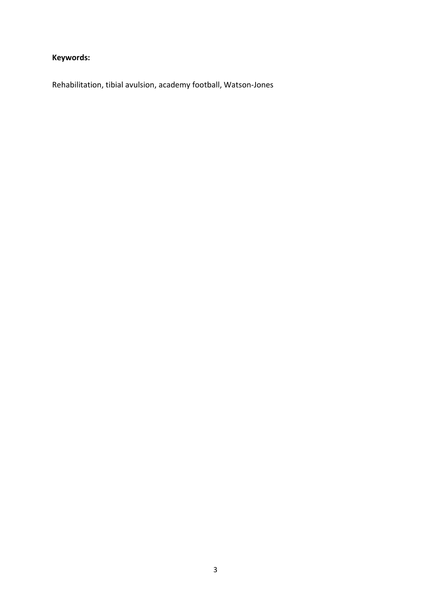# **Keywords:**

Rehabilitation, tibial avulsion, academy football, Watson-Jones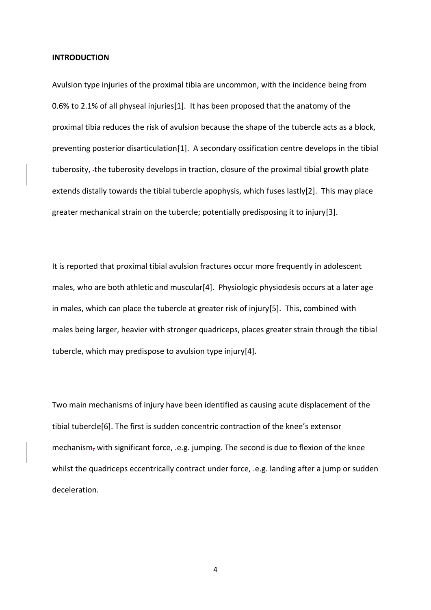#### **INTRODUCTION**

Avulsion type injuries of the proximal tibia are uncommon, with the incidence being from 0.6% to 2.1% of all physeal injuries[1]. It has been proposed that the anatomy of the proximal tibia reduces the risk of avulsion because the shape of the tubercle acts as a block, preventing posterior disarticulation[1]. A secondary ossification centre develops in the tibial tuberosity, the tuberosity develops in traction, closure of the proximal tibial growth plate extends distally towards the tibial tubercle apophysis, which fuses lastly[2]. This may place greater mechanical strain on the tubercle; potentially predisposing it to injury[3].

It is reported that proximal tibial avulsion fractures occur more frequently in adolescent males, who are both athletic and muscular[4]. Physiologic physiodesis occurs at a later age in males, which can place the tubercle at greater risk of injury[5]. This, combined with males being larger, heavier with stronger quadriceps, places greater strain through the tibial tubercle, which may predispose to avulsion type injury[4].

Two main mechanisms of injury have been identified as causing acute displacement of the tibial tubercle[6]. The first is sudden concentric contraction of the knee's extensor mechanism, with significant force, .e.g. jumping. The second is due to flexion of the knee whilst the quadriceps eccentrically contract under force, .e.g. landing after a jump or sudden deceleration.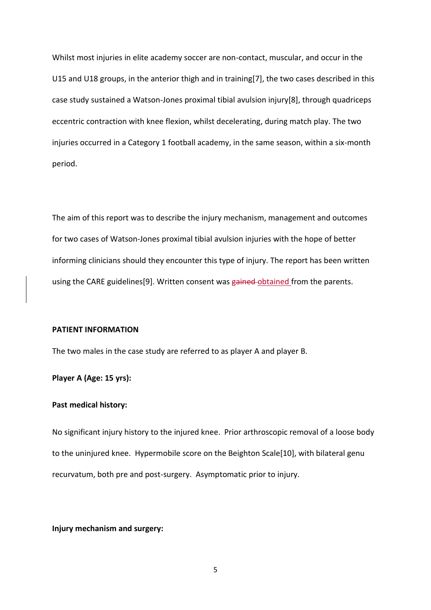Whilst most injuries in elite academy soccer are non-contact, muscular, and occur in the U15 and U18 groups, in the anterior thigh and in training[7], the two cases described in this case study sustained a Watson-Jones proximal tibial avulsion injury[8], through quadriceps eccentric contraction with knee flexion, whilst decelerating, during match play. The two injuries occurred in a Category 1 football academy, in the same season, within a six-month period.

The aim of this report was to describe the injury mechanism, management and outcomes for two cases of Watson-Jones proximal tibial avulsion injuries with the hope of better informing clinicians should they encounter this type of injury. The report has been written using the CARE guidelines[9]. Written consent was gained-obtained from the parents.

## **PATIENT INFORMATION**

The two males in the case study are referred to as player A and player B.

**Player A (Age: 15 yrs):**

## **Past medical history:**

No significant injury history to the injured knee. Prior arthroscopic removal of a loose body to the uninjured knee. Hypermobile score on the Beighton Scale[10], with bilateral genu recurvatum, both pre and post-surgery. Asymptomatic prior to injury.

# **Injury mechanism and surgery:**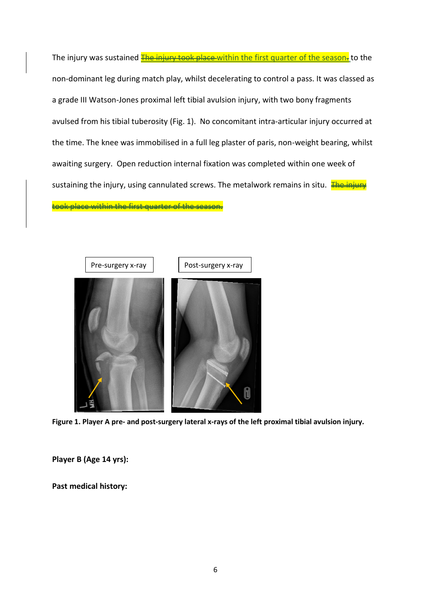The injury was sustained The injury took place within the first quarter of the season. to the non-dominant leg during match play, whilst decelerating to control a pass. It was classed as a grade III Watson-Jones proximal left tibial avulsion injury, with two bony fragments avulsed from his tibial tuberosity (Fig. 1). No concomitant intra-articular injury occurred at the time. The knee was immobilised in a full leg plaster of paris, non-weight bearing, whilst awaiting surgery. Open reduction internal fixation was completed within one week of sustaining the injury, using cannulated screws. The metalwork remains in situ. **The injury** 

to bace within the first quarter of the season.



**Figure 1. Player A pre- and post-surgery lateral x-rays of the left proximal tibial avulsion injury.**

**Player B (Age 14 yrs):**

**Past medical history:**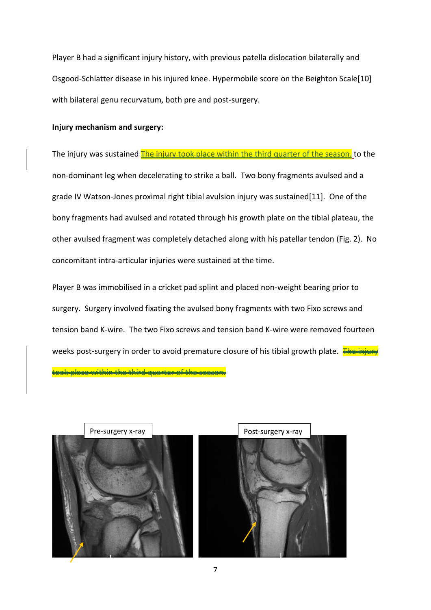Player B had a significant injury history, with previous patella dislocation bilaterally and Osgood-Schlatter disease in his injured knee. Hypermobile score on the Beighton Scale[10] with bilateral genu recurvatum, both pre and post-surgery.

# **Injury mechanism and surgery:**

The injury was sustained **The injury took place within the third quarter of the season.** to the non-dominant leg when decelerating to strike a ball. Two bony fragments avulsed and a grade IV Watson-Jones proximal right tibial avulsion injury was sustained[11]. One of the bony fragments had avulsed and rotated through his growth plate on the tibial plateau, the other avulsed fragment was completely detached along with his patellar tendon (Fig. 2). No concomitant intra-articular injuries were sustained at the time.

Player B was immobilised in a cricket pad splint and placed non-weight bearing prior to surgery. Surgery involved fixating the avulsed bony fragments with two Fixo screws and tension band K-wire. The two Fixo screws and tension band K-wire were removed fourteen weeks post-surgery in order to avoid premature closure of his tibial growth plate. The injury took place within the third quarter of the season.



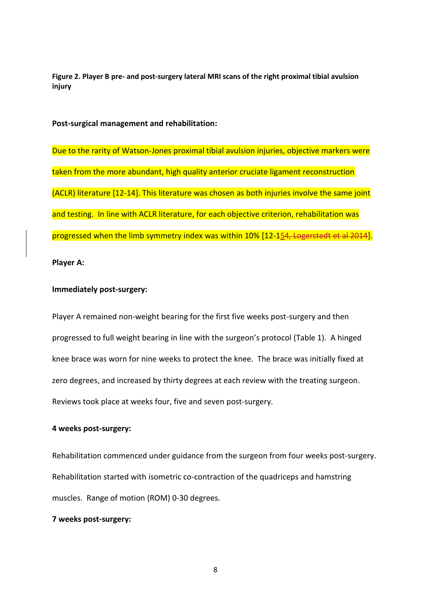**Figure 2. Player B pre- and post-surgery lateral MRI scans of the right proximal tibial avulsion injury**

**Post-surgical management and rehabilitation:**

Due to the rarity of Watson-Jones proximal tibial avulsion injuries, objective markers were taken from the more abundant, high quality anterior cruciate ligament reconstruction (ACLR) literature [12-14]. This literature was chosen as both injuries involve the same joint and testing. In line with ACLR literature, for each objective criterion, rehabilitation was progressed when the limb symmetry index was within 10% [12-154, Logerstedt et al 2014].

**Player A:**

# **Immediately post-surgery:**

Player A remained non-weight bearing for the first five weeks post-surgery and then progressed to full weight bearing in line with the surgeon's protocol (Table 1). A hinged knee brace was worn for nine weeks to protect the knee. The brace was initially fixed at zero degrees, and increased by thirty degrees at each review with the treating surgeon. Reviews took place at weeks four, five and seven post-surgery.

## **4 weeks post-surgery:**

Rehabilitation commenced under guidance from the surgeon from four weeks post-surgery. Rehabilitation started with isometric co-contraction of the quadriceps and hamstring muscles. Range of motion (ROM) 0-30 degrees.

# **7 weeks post-surgery:**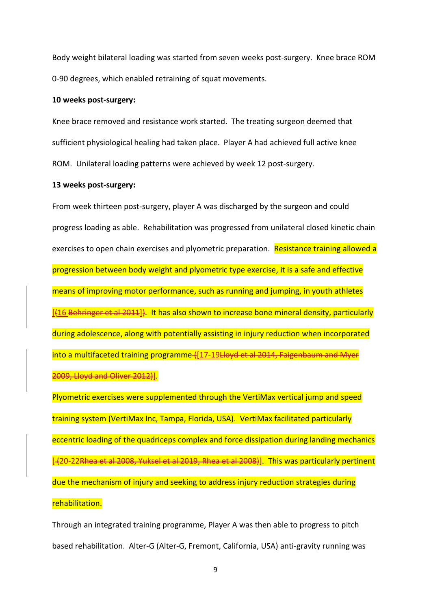Body weight bilateral loading was started from seven weeks post-surgery. Knee brace ROM 0-90 degrees, which enabled retraining of squat movements.

#### **10 weeks post-surgery:**

Knee brace removed and resistance work started. The treating surgeon deemed that sufficient physiological healing had taken place. Player A had achieved full active knee ROM. Unilateral loading patterns were achieved by week 12 post-surgery.

## **13 weeks post-surgery:**

From week thirteen post-surgery, player A was discharged by the surgeon and could progress loading as able. Rehabilitation was progressed from unilateral closed kinetic chain exercises to open chain exercises and plyometric preparation. Resistance training allowed a progression between body weight and plyometric type exercise, it is a safe and effective means of improving motor performance, such as running and jumping, in youth athletes [ $(16$  Behringer et al 2011]). It has also shown to increase bone mineral density, particularly during adolescence, along with potentially assisting in injury reduction when incorporated into a multifaceted training programme ([17-19 Hove et al 2014, Faigenbaum and Myer 2009, Lloyd and Oliver 2012)].

Plyometric exercises were supplemented through the VertiMax vertical jump and speed training system (VertiMax Inc, Tampa, Florida, USA). VertiMax facilitated particularly eccentric loading of the quadriceps complex and force dissipation during landing mechanics [-{20-22Rhea et al 2008, Yuksel et al 2019, Rhea et al 2008}]. This was particularly pertinent due the mechanism of injury and seeking to address injury reduction strategies during rehabilitation.

Through an integrated training programme, Player A was then able to progress to pitch based rehabilitation. Alter-G (Alter-G, Fremont, California, USA) anti-gravity running was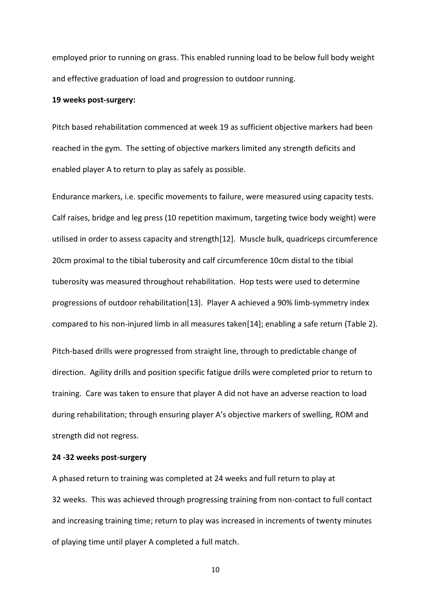employed prior to running on grass. This enabled running load to be below full body weight and effective graduation of load and progression to outdoor running.

## **19 weeks post-surgery:**

Pitch based rehabilitation commenced at week 19 as sufficient objective markers had been reached in the gym. The setting of objective markers limited any strength deficits and enabled player A to return to play as safely as possible.

Endurance markers, i.e. specific movements to failure, were measured using capacity tests. Calf raises, bridge and leg press (10 repetition maximum, targeting twice body weight) were utilised in order to assess capacity and strength[12]. Muscle bulk, quadriceps circumference 20cm proximal to the tibial tuberosity and calf circumference 10cm distal to the tibial tuberosity was measured throughout rehabilitation. Hop tests were used to determine progressions of outdoor rehabilitation[13]. Player A achieved a 90% limb-symmetry index compared to his non-injured limb in all measures taken[14]; enabling a safe return (Table 2). Pitch-based drills were progressed from straight line, through to predictable change of direction. Agility drills and position specific fatigue drills were completed prior to return to training. Care was taken to ensure that player A did not have an adverse reaction to load during rehabilitation; through ensuring player A's objective markers of swelling, ROM and strength did not regress.

#### **24 -32 weeks post-surgery**

A phased return to training was completed at 24 weeks and full return to play at 32 weeks. This was achieved through progressing training from non-contact to full contact and increasing training time; return to play was increased in increments of twenty minutes of playing time until player A completed a full match.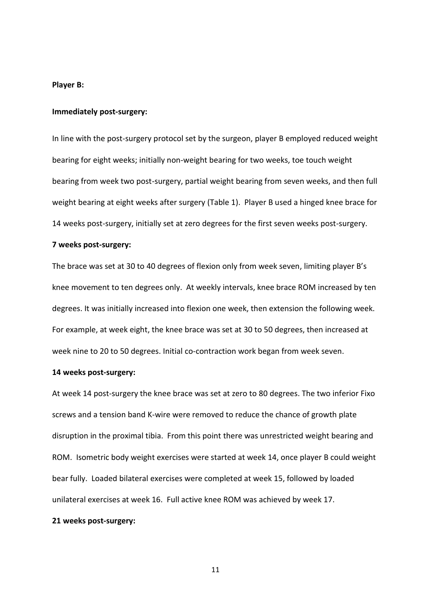### **Player B:**

#### **Immediately post-surgery:**

In line with the post-surgery protocol set by the surgeon, player B employed reduced weight bearing for eight weeks; initially non-weight bearing for two weeks, toe touch weight bearing from week two post-surgery, partial weight bearing from seven weeks, and then full weight bearing at eight weeks after surgery (Table 1). Player B used a hinged knee brace for 14 weeks post-surgery, initially set at zero degrees for the first seven weeks post-surgery.

# **7 weeks post-surgery:**

The brace was set at 30 to 40 degrees of flexion only from week seven, limiting player B's knee movement to ten degrees only. At weekly intervals, knee brace ROM increased by ten degrees. It was initially increased into flexion one week, then extension the following week. For example, at week eight, the knee brace was set at 30 to 50 degrees, then increased at week nine to 20 to 50 degrees. Initial co-contraction work began from week seven.

#### **14 weeks post-surgery:**

At week 14 post-surgery the knee brace was set at zero to 80 degrees. The two inferior Fixo screws and a tension band K-wire were removed to reduce the chance of growth plate disruption in the proximal tibia. From this point there was unrestricted weight bearing and ROM. Isometric body weight exercises were started at week 14, once player B could weight bear fully. Loaded bilateral exercises were completed at week 15, followed by loaded unilateral exercises at week 16. Full active knee ROM was achieved by week 17.

# **21 weeks post-surgery:**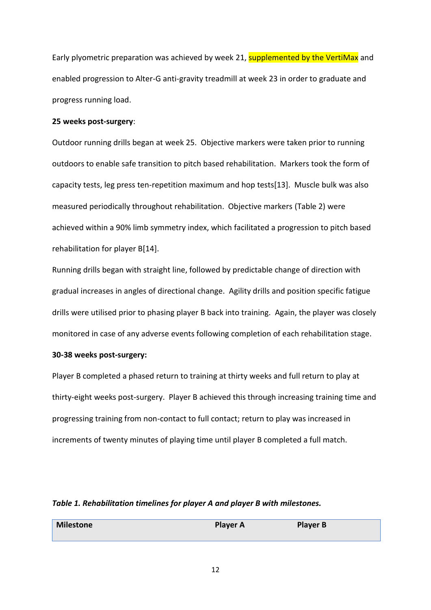Early plyometric preparation was achieved by week 21, supplemented by the VertiMax and enabled progression to Alter-G anti-gravity treadmill at week 23 in order to graduate and progress running load.

## **25 weeks post-surgery**:

Outdoor running drills began at week 25. Objective markers were taken prior to running outdoors to enable safe transition to pitch based rehabilitation. Markers took the form of capacity tests, leg press ten-repetition maximum and hop tests[13]. Muscle bulk was also measured periodically throughout rehabilitation. Objective markers (Table 2) were achieved within a 90% limb symmetry index, which facilitated a progression to pitch based rehabilitation for player B[14].

Running drills began with straight line, followed by predictable change of direction with gradual increases in angles of directional change. Agility drills and position specific fatigue drills were utilised prior to phasing player B back into training. Again, the player was closely monitored in case of any adverse events following completion of each rehabilitation stage.

# **30-38 weeks post-surgery:**

Player B completed a phased return to training at thirty weeks and full return to play at thirty-eight weeks post-surgery. Player B achieved this through increasing training time and progressing training from non-contact to full contact; return to play was increased in increments of twenty minutes of playing time until player B completed a full match.

# *Table 1. Rehabilitation timelines for player A and player B with milestones.*

| Milestone | <b>Player A</b> | <b>Player B</b> |
|-----------|-----------------|-----------------|
|           |                 |                 |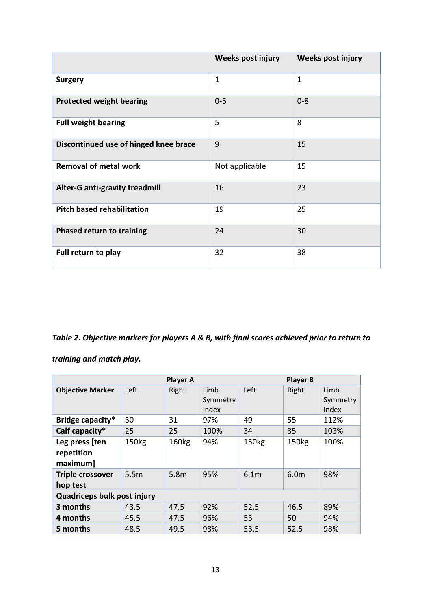|                                       | Weeks post injury | <b>Weeks post injury</b> |
|---------------------------------------|-------------------|--------------------------|
| <b>Surgery</b>                        | $\mathbf{1}$      | $\mathbf 1$              |
| <b>Protected weight bearing</b>       | $0 - 5$           | $0 - 8$                  |
| <b>Full weight bearing</b>            | 5                 | 8                        |
| Discontinued use of hinged knee brace | 9                 | 15                       |
| <b>Removal of metal work</b>          | Not applicable    | 15                       |
| <b>Alter-G anti-gravity treadmill</b> | 16                | 23                       |
| <b>Pitch based rehabilitation</b>     | 19                | 25                       |
| Phased return to training             | 24                | 30                       |
| Full return to play                   | 32                | 38                       |

# *Table 2. Objective markers for players A & B, with final scores achieved prior to return to*

# *training and match play.*

| <b>Player A</b><br><b>Player B</b>       |                   |                  |                           |                   |                   |                           |
|------------------------------------------|-------------------|------------------|---------------------------|-------------------|-------------------|---------------------------|
| <b>Objective Marker</b>                  | Left              | Right            | Limb<br>Symmetry<br>Index | Left              | Right             | Limb<br>Symmetry<br>Index |
| Bridge capacity*                         | 30                | 31               | 97%                       | 49                | 55                | 112%                      |
| Calf capacity*                           | 25                | 25               | 100%                      | 34                | 35                | 103%                      |
| Leg press [ten<br>repetition<br>maximum] | 150 <sub>kg</sub> | 160kg            | 94%                       | 150 <sub>kg</sub> | 150 <sub>kg</sub> | 100%                      |
| <b>Triple crossover</b><br>hop test      | 5.5 <sub>m</sub>  | 5.8 <sub>m</sub> | 95%                       | 6.1 <sub>m</sub>  | 6.0m              | 98%                       |
| Quadriceps bulk post injury              |                   |                  |                           |                   |                   |                           |
| 3 months                                 | 43.5              | 47.5             | 92%                       | 52.5              | 46.5              | 89%                       |
| 4 months                                 | 45.5              | 47.5             | 96%                       | 53                | 50                | 94%                       |
| 5 months                                 | 48.5              | 49.5             | 98%                       | 53.5              | 52.5              | 98%                       |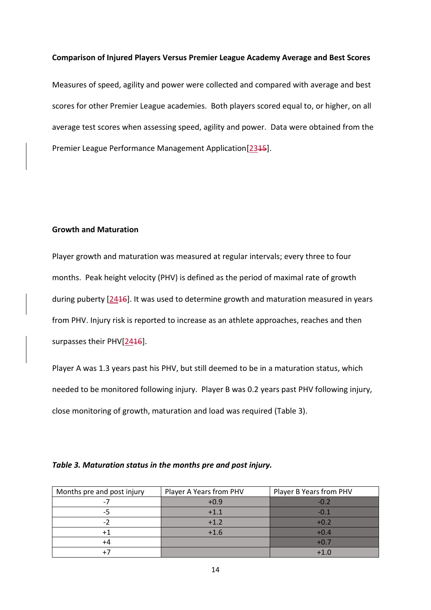## **Comparison of Injured Players Versus Premier League Academy Average and Best Scores**

Measures of speed, agility and power were collected and compared with average and best scores for other Premier League academies. Both players scored equal to, or higher, on all average test scores when assessing speed, agility and power. Data were obtained from the Premier League Performance Management Application[2345].

# **Growth and Maturation**

Player growth and maturation was measured at regular intervals; every three to four months. Peak height velocity (PHV) is defined as the period of maximal rate of growth during puberty [2416]. It was used to determine growth and maturation measured in years from PHV. Injury risk is reported to increase as an athlete approaches, reaches and then surpasses their PHV[2416].

Player A was 1.3 years past his PHV, but still deemed to be in a maturation status, which needed to be monitored following injury. Player B was 0.2 years past PHV following injury, close monitoring of growth, maturation and load was required (Table 3).

| Months pre and post injury | Player A Years from PHV | Player B Years from PHV |
|----------------------------|-------------------------|-------------------------|
|                            | $+0.9$                  | $-0.2$                  |
| ר-                         | $+1.1$                  | $-0.1$                  |
|                            | $+1.2$                  | $+0.2$                  |
|                            | $+1.6$                  | $+0.4$                  |
| +4                         |                         | $+0.7$                  |
|                            |                         | $+1.0$                  |

#### *Table 3. Maturation status in the months pre and post injury.*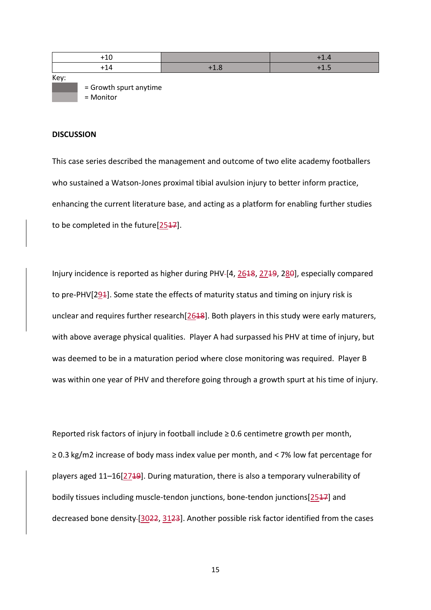|      | +10                    |        | $+1.4$         |
|------|------------------------|--------|----------------|
|      | $+14$                  | $+1.8$ | $\blacksquare$ |
| Key: |                        |        |                |
|      | = Growth spurt anytime |        |                |

= Monitor

#### **DISCUSSION**

This case series described the management and outcome of two elite academy footballers who sustained a Watson-Jones proximal tibial avulsion injury to better inform practice, enhancing the current literature base, and acting as a platform for enabling further studies to be completed in the future<sup>[2547]</sup>.

Injury incidence is reported as higher during PHV-[4, 2618, 2719, 280], especially compared to pre-PHV[ $294$ ]. Some state the effects of maturity status and timing on injury risk is unclear and requires further research $[2618]$ . Both players in this study were early maturers, with above average physical qualities. Player A had surpassed his PHV at time of injury, but was deemed to be in a maturation period where close monitoring was required. Player B was within one year of PHV and therefore going through a growth spurt at his time of injury.

Reported risk factors of injury in football include ≥ 0.6 centimetre growth per month, ≥ 0.3 kg/m2 increase of body mass index value per month, and < 7% low fat percentage for players aged 11-16[2719]. During maturation, there is also a temporary vulnerability of bodily tissues including muscle-tendon junctions, bone-tendon junctions[2517] and decreased bone density-[3022, 3123]. Another possible risk factor identified from the cases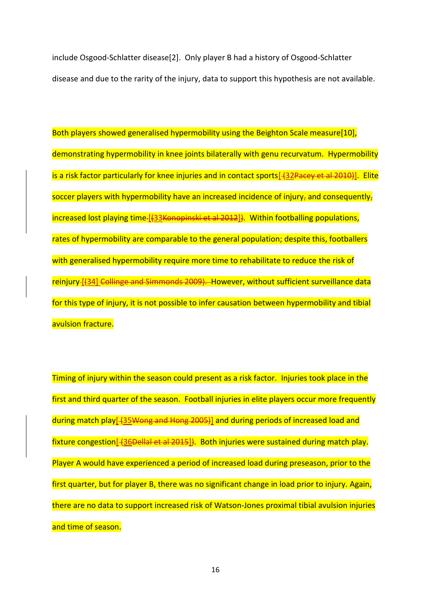include Osgood-Schlatter disease[2]. Only player B had a history of Osgood-Schlatter disease and due to the rarity of the injury, data to support this hypothesis are not available.

Both players showed generalised hypermobility using the Beighton Scale measure[10], demonstrating hypermobility in knee joints bilaterally with genu recurvatum. Hypermobility is a risk factor particularly for knee injuries and in contact sports[432Pacey et al 2010)]. Elite soccer players with hypermobility have an increased incidence of injury, and consequently, increased lost playing time-[{33Konopinski et al 2012]}. Within footballing populations, rates of hypermobility are comparable to the general population; despite this, footballers with generalised hypermobility require more time to rehabilitate to reduce the risk of reinjury-[(34] Collinge and Simmonds 2009). However, without sufficient surveillance data for this type of injury, it is not possible to infer causation between hypermobility and tibial avulsion fracture.

Timing of injury within the season could present as a risk factor. Injuries took place in the first and third quarter of the season. Football injuries in elite players occur more frequently during match play[-(35Wong and Hong 2005)] and during periods of increased load and fixture congestion [-436<del>Dellal et al 2015</del>]. Both injuries were sustained during match play. Player A would have experienced a period of increased load during preseason, prior to the first quarter, but for player B, there was no significant change in load prior to injury. Again, there are no data to support increased risk of Watson-Jones proximal tibial avulsion injuries and time of season.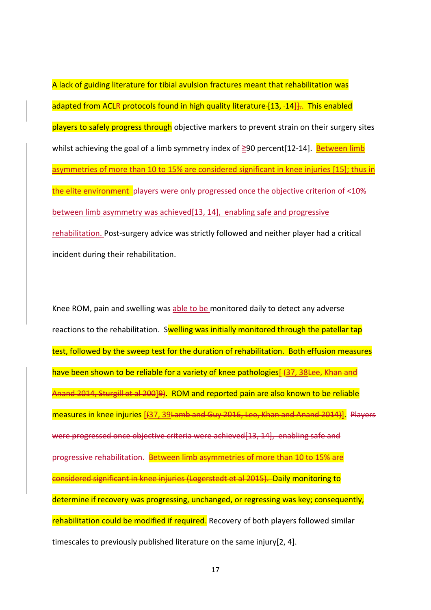A lack of guiding literature for tibial avulsion fractures meant that rehabilitation was adapted from ACLR protocols found in high quality literature- $[13, -14]$ . This enabled players to safely progress through objective markers to prevent strain on their surgery sites whilst achieving the goal of a limb symmetry index of  $≥90$  percent[12-14]. Between limb asymmetries of more than 10 to 15% are considered significant in knee injuries [15]; thus in the elite environment players were only progressed once the objective criterion of <10% between limb asymmetry was achieved[13, 14], enabling safe and progressive rehabilitation. Post-surgery advice was strictly followed and neither player had a critical incident during their rehabilitation.

Knee ROM, pain and swelling was able to be monitored daily to detect any adverse reactions to the rehabilitation. Swelling was initially monitored through the patellar tap test, followed by the sweep test for the duration of rehabilitation. Both effusion measures have been shown to be reliable for a variety of knee pathologies<sup>[437, 38 Lee, Khan and</sup> Anand 2014, Sturgill et al 200]9). ROM and reported pain are also known to be reliable measures in knee injuries [(37, 39Lamb and Guy 2016, Lee, Khan and Anand 2014)]. Players  $\frac{1}{2}$ re progressed once objective criteria were achieved $\left[ 13, 14 \right]$ , enabling safe and progressive rehabilitation. Between limb asymmetries of more than 10 to 15% are considered significant in knee injuries (Logerstedt et al 2015). Daily monitoring to determine if recovery was progressing, unchanged, or regressing was key; consequently, rehabilitation could be modified if required. Recovery of both players followed similar timescales to previously published literature on the same injury[2, 4].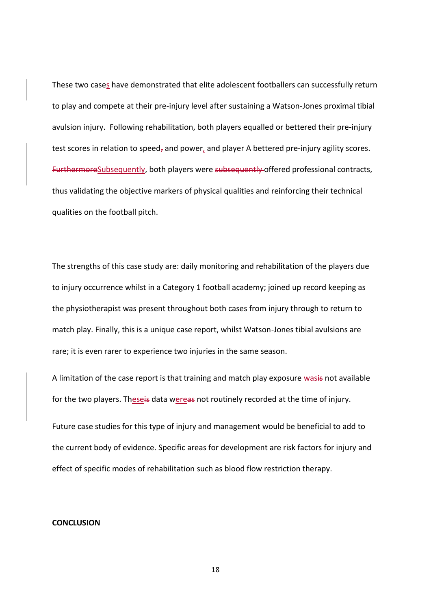These two cases have demonstrated that elite adolescent footballers can successfully return to play and compete at their pre-injury level after sustaining a Watson-Jones proximal tibial avulsion injury. Following rehabilitation, both players equalled or bettered their pre-injury test scores in relation to speed, and power, and player A bettered pre-injury agility scores. FurthermoreSubsequently, both players were subsequently offered professional contracts, thus validating the objective markers of physical qualities and reinforcing their technical qualities on the football pitch.

The strengths of this case study are: daily monitoring and rehabilitation of the players due to injury occurrence whilst in a Category 1 football academy; joined up record keeping as the physiotherapist was present throughout both cases from injury through to return to match play. Finally, this is a unique case report, whilst Watson-Jones tibial avulsions are rare; it is even rarer to experience two injuries in the same season.

A limitation of the case report is that training and match play exposure wasis not available for the two players. Theseis data wereas not routinely recorded at the time of injury.

Future case studies for this type of injury and management would be beneficial to add to the current body of evidence. Specific areas for development are risk factors for injury and effect of specific modes of rehabilitation such as blood flow restriction therapy.

## **CONCLUSION**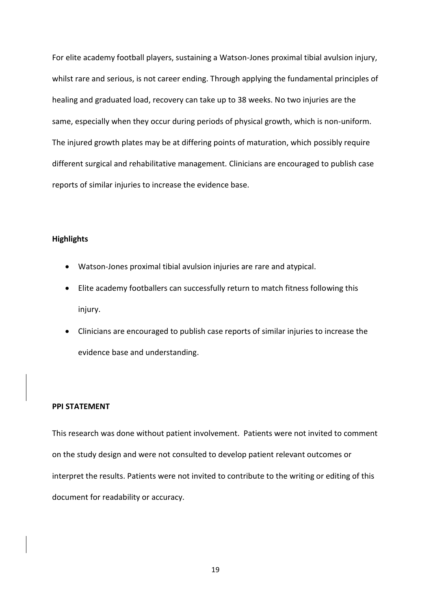For elite academy football players, sustaining a Watson-Jones proximal tibial avulsion injury, whilst rare and serious, is not career ending. Through applying the fundamental principles of healing and graduated load, recovery can take up to 38 weeks. No two injuries are the same, especially when they occur during periods of physical growth, which is non-uniform. The injured growth plates may be at differing points of maturation, which possibly require different surgical and rehabilitative management. Clinicians are encouraged to publish case reports of similar injuries to increase the evidence base.

## **Highlights**

- Watson-Jones proximal tibial avulsion injuries are rare and atypical.
- Elite academy footballers can successfully return to match fitness following this injury.
- Clinicians are encouraged to publish case reports of similar injuries to increase the evidence base and understanding.

#### **PPI STATEMENT**

This research was done without patient involvement. Patients were not invited to comment on the study design and were not consulted to develop patient relevant outcomes or interpret the results. Patients were not invited to contribute to the writing or editing of this document for readability or accuracy.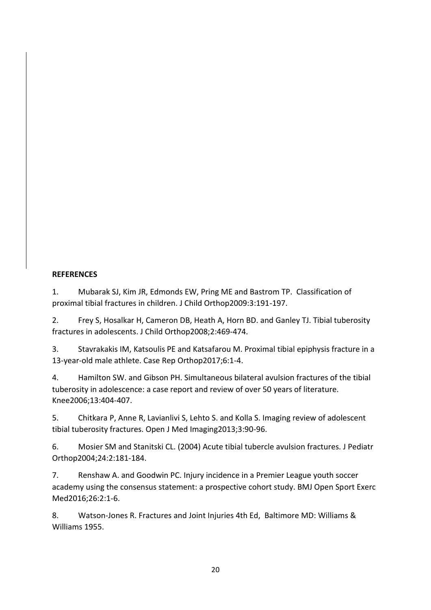# **REFERENCES**

1. Mubarak SJ, Kim JR, Edmonds EW, Pring ME and Bastrom TP. Classification of proximal tibial fractures in children. J Child Orthop2009:3:191-197.

2. Frey S, Hosalkar H, Cameron DB, Heath A, Horn BD. and Ganley TJ. Tibial tuberosity fractures in adolescents. J Child Orthop2008;2:469-474.

3. Stavrakakis IM, Katsoulis PE and Katsafarou M. Proximal tibial epiphysis fracture in a 13-year-old male athlete. Case Rep Orthop2017;6:1-4.

4. Hamilton SW. and Gibson PH. Simultaneous bilateral avulsion fractures of the tibial tuberosity in adolescence: a case report and review of over 50 years of literature. Knee2006;13:404-407.

5. Chitkara P, Anne R, Lavianlivi S, Lehto S. and Kolla S. Imaging review of adolescent tibial tuberosity fractures. Open J Med Imaging2013;3:90-96.

6. Mosier SM and Stanitski CL. (2004) Acute tibial tubercle avulsion fractures. J Pediatr Orthop2004;24:2:181-184.

7. Renshaw A. and Goodwin PC. Injury incidence in a Premier League youth soccer academy using the consensus statement: a prospective cohort study. BMJ Open Sport Exerc Med2016;26:2:1-6.

8. Watson-Jones R. Fractures and Joint Injuries 4th Ed, Baltimore MD: Williams & Williams 1955.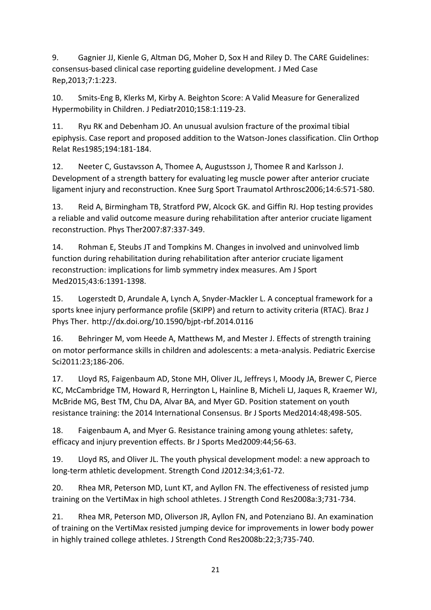9. Gagnier JJ, Kienle G, Altman DG, Moher D, Sox H and Riley D. The CARE Guidelines: consensus-based clinical case reporting guideline development. J Med Case Rep,2013;7:1:223.

10. Smits-Eng B, Klerks M, Kirby A. Beighton Score: A Valid Measure for Generalized Hypermobility in Children. J Pediatr2010;158:1:119-23.

11. Ryu RK and Debenham JO. An unusual avulsion fracture of the proximal tibial epiphysis. Case report and proposed addition to the Watson-Jones classification. Clin Orthop Relat Res1985;194:181-184.

12. Neeter C, Gustavsson A, Thomee A, Augustsson J, Thomee R and Karlsson J. Development of a strength battery for evaluating leg muscle power after anterior cruciate ligament injury and reconstruction. Knee Surg Sport Traumatol Arthrosc2006;14:6:571-580.

13. Reid A, Birmingham TB, Stratford PW, Alcock GK. and Giffin RJ. Hop testing provides a reliable and valid outcome measure during rehabilitation after anterior cruciate ligament reconstruction. Phys Ther2007:87:337-349.

14. Rohman E, Steubs JT and Tompkins M. Changes in involved and uninvolved limb function during rehabilitation during rehabilitation after anterior cruciate ligament reconstruction: implications for limb symmetry index measures. Am J Sport Med2015;43:6:1391-1398.

15. Logerstedt D, Arundale A, Lynch A, Snyder-Mackler L. A conceptual framework for a sports knee injury performance profile (SKIPP) and return to activity criteria (RTAC). Braz J Phys Ther.  http://dx.doi.org/10.1590/bjpt-rbf.2014.0116

16. Behringer M, vom Heede A, Matthews M, and Mester J. Effects of strength training on motor performance skills in children and adolescents: a meta-analysis. Pediatric Exercise Sci2011:23;186-206.

17. Lloyd RS, Faigenbaum AD, Stone MH, Oliver JL, Jeffreys I, Moody JA, Brewer C, Pierce KC, McCambridge TM, Howard R, Herrington L, Hainline B, Micheli LJ, Jaques R, Kraemer WJ, McBride MG, Best TM, Chu DA, Alvar BA, and Myer GD. Position statement on youth resistance training: the 2014 International Consensus. Br J Sports Med2014:48;498-505.

18. Faigenbaum A, and Myer G. Resistance training among young athletes: safety, efficacy and injury prevention effects. Br J Sports Med2009:44;56-63.

19. Lloyd RS, and Oliver JL. The youth physical development model: a new approach to long-term athletic development. Strength Cond J2012:34;3;61-72.

20. Rhea MR, Peterson MD, Lunt KT, and Ayllon FN. The effectiveness of resisted jump training on the VertiMax in high school athletes. J Strength Cond Res2008a:3;731-734.

21. Rhea MR, Peterson MD, Oliverson JR, Ayllon FN, and Potenziano BJ. An examination of training on the VertiMax resisted jumping device for improvements in lower body power in highly trained college athletes. J Strength Cond Res2008b:22;3;735-740.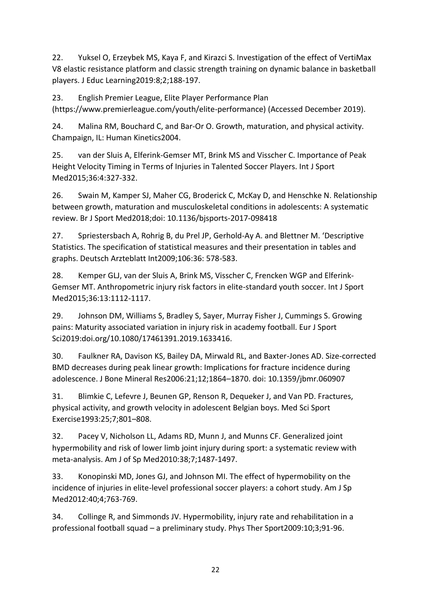22. Yuksel O, Erzeybek MS, Kaya F, and Kirazci S. Investigation of the effect of VertiMax V8 elastic resistance platform and classic strength training on dynamic balance in basketball players. J Educ Learning2019:8;2;188-197.

23. English Premier League, Elite Player Performance Plan (https://www.premierleague.com/youth/elite-performance) (Accessed December 2019).

24. Malina RM, Bouchard C, and Bar-Or O. Growth, maturation, and physical activity. Champaign, IL: Human Kinetics2004.

25. van der Sluis A, Elferink-Gemser MT, Brink MS and Visscher C. Importance of Peak Height Velocity Timing in Terms of Injuries in Talented Soccer Players. Int J Sport Med2015;36:4:327-332.

26. Swain M, Kamper SJ, Maher CG, Broderick C, McKay D, and Henschke N. Relationship between growth, maturation and musculoskeletal conditions in adolescents: A systematic review. Br J Sport Med2018;doi: 10.1136/bjsports-2017-098418

27. Spriestersbach A, Rohrig B, du Prel JP, Gerhold-Ay A. and Blettner M. 'Descriptive Statistics. The specification of statistical measures and their presentation in tables and graphs. Deutsch Arzteblatt Int2009;106:36: 578-583.

28. Kemper GLJ, van der Sluis A, Brink MS, Visscher C, Frencken WGP and Elferink-Gemser MT. Anthropometric injury risk factors in elite-standard youth soccer. Int J Sport Med2015;36:13:1112-1117.

29. Johnson DM, Williams S, Bradley S, Sayer, Murray Fisher J, Cummings S. Growing pains: Maturity associated variation in injury risk in academy football. Eur J Sport Sci2019:doi.org/10.1080/17461391.2019.1633416.

30. Faulkner RA, Davison KS, Bailey DA, Mirwald RL, and Baxter-Jones AD. Size-corrected BMD decreases during peak linear growth: Implications for fracture incidence during adolescence. J Bone Mineral Res2006:21;12;1864–1870. doi: 10.1359/jbmr.060907

31. Blimkie C, Lefevre J, Beunen GP, Renson R, Dequeker J, and Van PD. Fractures, physical activity, and growth velocity in adolescent Belgian boys. Med Sci Sport Exercise1993:25;7;801–808.

32. Pacey V, Nicholson LL, Adams RD, Munn J, and Munns CF. Generalized joint hypermobility and risk of lower limb joint injury during sport: a systematic review with meta-analysis. Am J of Sp Med2010:38;7;1487-1497.

33. Konopinski MD, Jones GJ, and Johnson MI. The effect of hypermobility on the incidence of injuries in elite-level professional soccer players: a cohort study. Am J Sp Med2012:40;4;763-769.

34. Collinge R, and Simmonds JV. Hypermobility, injury rate and rehabilitation in a professional football squad – a preliminary study. Phys Ther Sport2009:10;3;91-96.